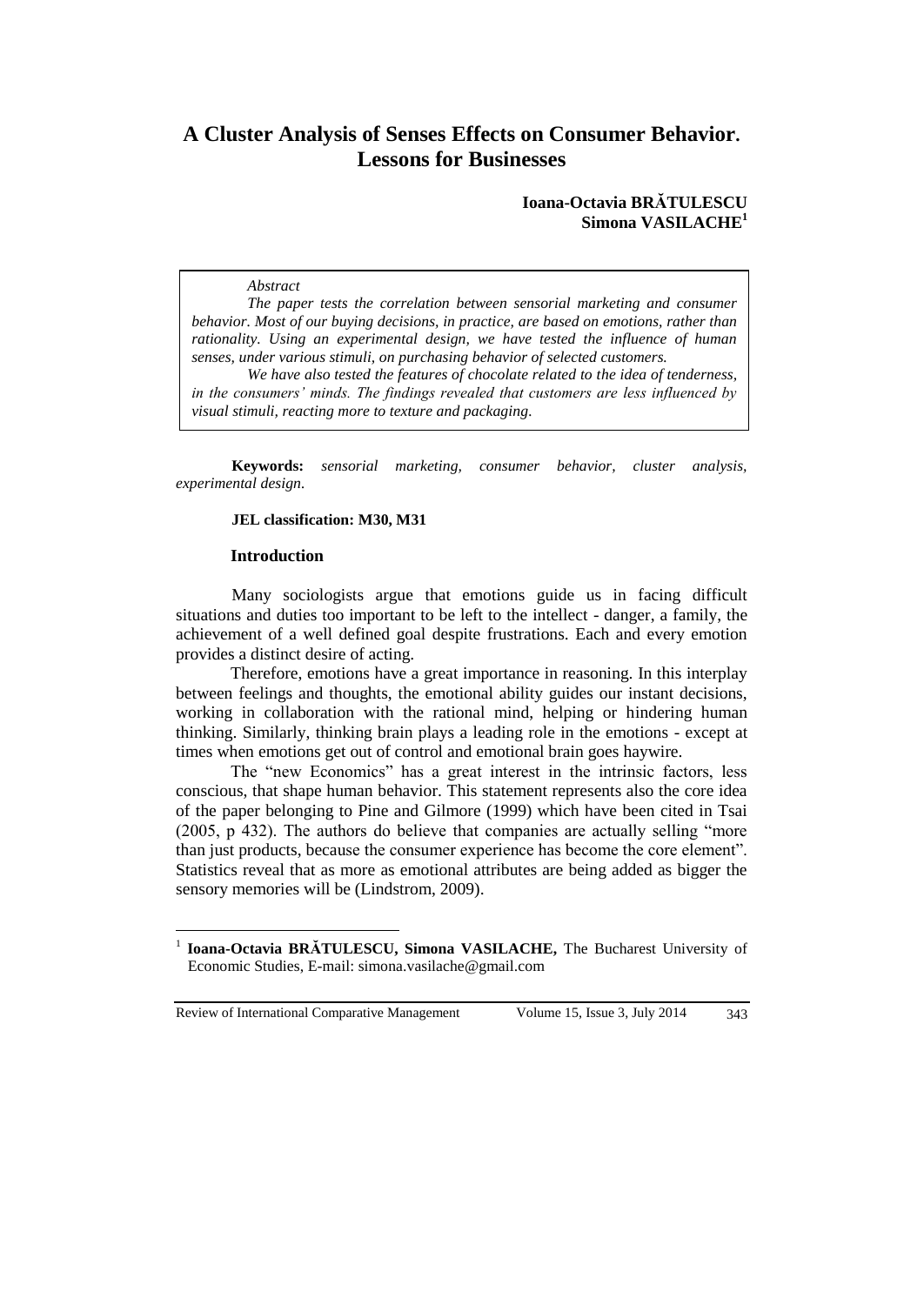# **A Cluster Analysis of Senses Effects on Consumer Behavior. Lessons for Businesses**

## **Ioana-Octavia BRĂTULESCU Simona VASILACHE<sup>1</sup>**

#### *Abstract*

*The paper tests the correlation between sensorial marketing and consumer behavior. Most of our buying decisions, in practice, are based on emotions, rather than rationality. Using an experimental design, we have tested the influence of human senses, under various stimuli, on purchasing behavior of selected customers.* 

*We have also tested the features of chocolate related to the idea of tenderness, in the consumers' minds. The findings revealed that customers are less influenced by visual stimuli, reacting more to texture and packaging.*

**Keywords:** *sensorial marketing, consumer behavior, cluster analysis, experimental design.*

# **JEL classification: M30, M31**

#### **Introduction**

Many sociologists argue that emotions guide us in facing difficult situations and duties too important to be left to the intellect - danger, a family, the achievement of a well defined goal despite frustrations. Each and every emotion provides a distinct desire of acting.

Therefore, emotions have a great importance in reasoning. In this interplay between feelings and thoughts, the emotional ability guides our instant decisions, working in collaboration with the rational mind, helping or hindering human thinking. Similarly, thinking brain plays a leading role in the emotions - except at times when emotions get out of control and emotional brain goes haywire.

The "new Economics" has a great interest in the intrinsic factors, less conscious, that shape human behavior. This statement represents also the core idea of the paper belonging to Pine and Gilmore (1999) which have been cited in Tsai (2005, p 432). The authors do believe that companies are actually selling "more than just products, because the consumer experience has become the core element". Statistics reveal that as more as emotional attributes are being added as bigger the sensory memories will be (Lindstrom, 2009).

Review of International Comparative Management Volume 15, Issue 3, July 2014 343

 $\overline{a}$ 

<sup>1</sup> **Ioana-Octavia BRĂTULESCU, Simona VASILACHE,** The Bucharest University of Economic Studies, E-mail: simona.vasilache@gmail.com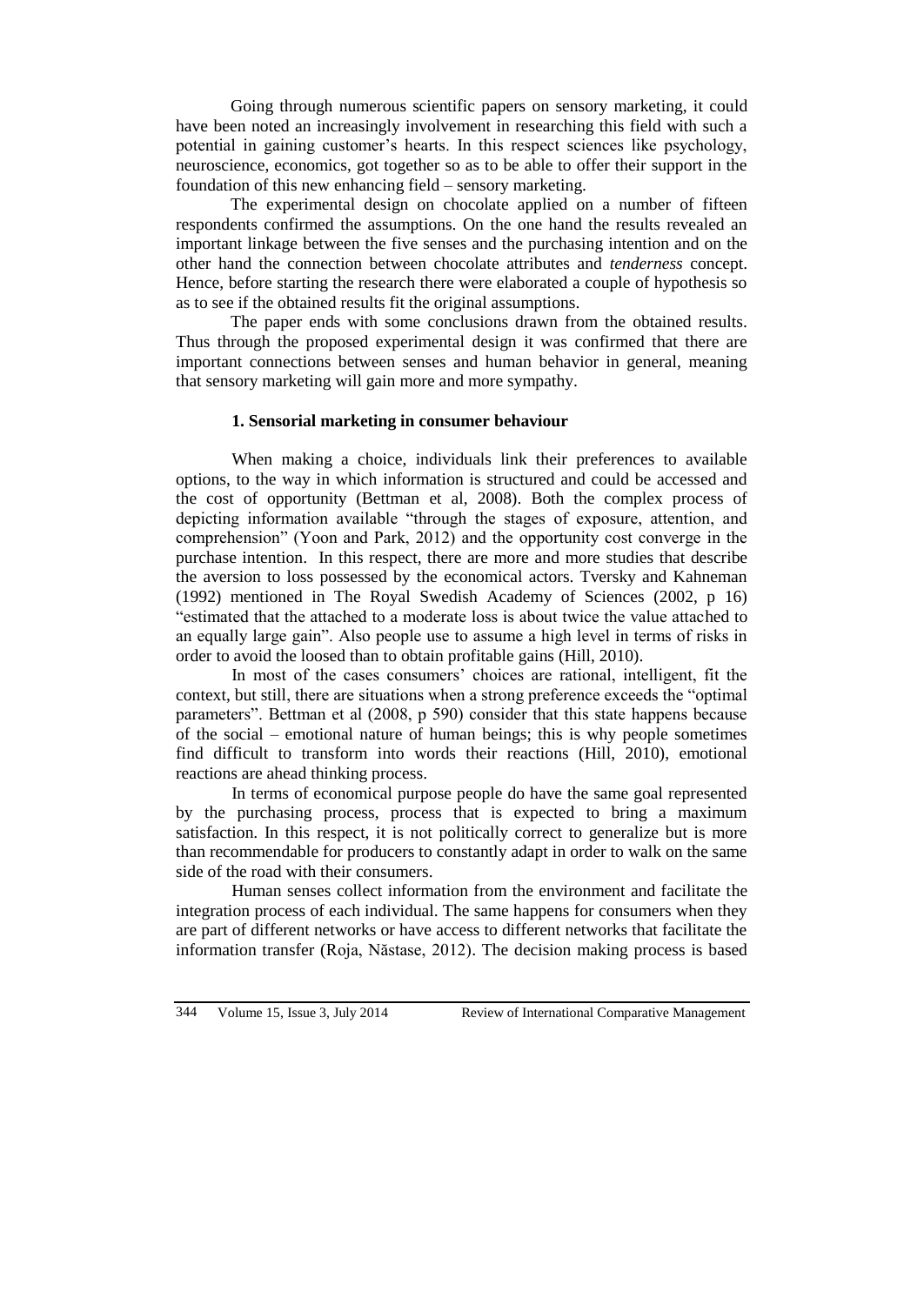Going through numerous scientific papers on sensory marketing, it could have been noted an increasingly involvement in researching this field with such a potential in gaining customer's hearts. In this respect sciences like psychology, neuroscience, economics, got together so as to be able to offer their support in the foundation of this new enhancing field – sensory marketing.

The experimental design on chocolate applied on a number of fifteen respondents confirmed the assumptions. On the one hand the results revealed an important linkage between the five senses and the purchasing intention and on the other hand the connection between chocolate attributes and *tenderness* concept. Hence, before starting the research there were elaborated a couple of hypothesis so as to see if the obtained results fit the original assumptions.

The paper ends with some conclusions drawn from the obtained results. Thus through the proposed experimental design it was confirmed that there are important connections between senses and human behavior in general, meaning that sensory marketing will gain more and more sympathy.

# **1. Sensorial marketing in consumer behaviour**

When making a choice, individuals link their preferences to available options, to the way in which information is structured and could be accessed and the cost of opportunity (Bettman et al, 2008). Both the complex process of depicting information available "through the stages of exposure, attention, and comprehension" (Yoon and Park, 2012) and the opportunity cost converge in the purchase intention. In this respect, there are more and more studies that describe the aversion to loss possessed by the economical actors. Tversky and Kahneman (1992) mentioned in The Royal Swedish Academy of Sciences (2002, p 16) "estimated that the attached to a moderate loss is about twice the value attached to an equally large gain". Also people use to assume a high level in terms of risks in order to avoid the loosed than to obtain profitable gains (Hill, 2010).

In most of the cases consumers' choices are rational, intelligent, fit the context, but still, there are situations when a strong preference exceeds the "optimal parameters". Bettman et al (2008, p 590) consider that this state happens because of the social – emotional nature of human beings; this is why people sometimes find difficult to transform into words their reactions (Hill, 2010), emotional reactions are ahead thinking process.

In terms of economical purpose people do have the same goal represented by the purchasing process, process that is expected to bring a maximum satisfaction. In this respect, it is not politically correct to generalize but is more than recommendable for producers to constantly adapt in order to walk on the same side of the road with their consumers.

Human senses collect information from the environment and facilitate the integration process of each individual. The same happens for consumers when they are part of different networks or have access to different networks that facilitate the information transfer (Roja, Năstase, 2012). The decision making process is based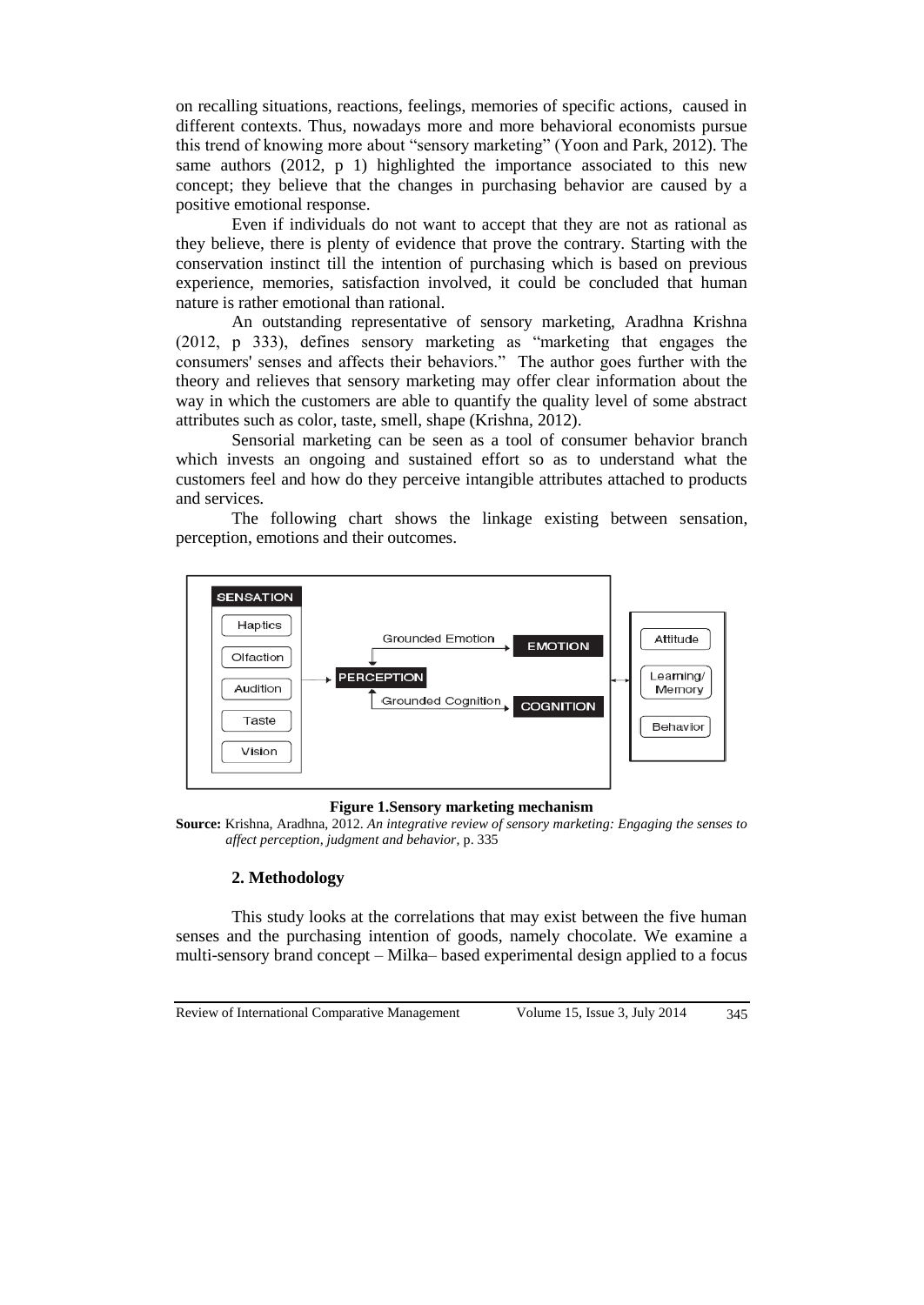on recalling situations, reactions, feelings, memories of specific actions, caused in different contexts. Thus, nowadays more and more behavioral economists pursue this trend of knowing more about "sensory marketing" (Yoon and Park, 2012). The same authors (2012, p 1) highlighted the importance associated to this new concept; they believe that the changes in purchasing behavior are caused by a positive emotional response.

Even if individuals do not want to accept that they are not as rational as they believe, there is plenty of evidence that prove the contrary. Starting with the conservation instinct till the intention of purchasing which is based on previous experience, memories, satisfaction involved, it could be concluded that human nature is rather emotional than rational.

An outstanding representative of sensory marketing, Aradhna Krishna (2012, p 333), defines sensory marketing as "marketing that engages the consumers' senses and affects their behaviors." The author goes further with the theory and relieves that sensory marketing may offer clear information about the way in which the customers are able to quantify the quality level of some abstract attributes such as color, taste, smell, shape (Krishna, 2012).

Sensorial marketing can be seen as a tool of consumer behavior branch which invests an ongoing and sustained effort so as to understand what the customers feel and how do they perceive intangible attributes attached to products and services.

The following chart shows the linkage existing between sensation, perception, emotions and their outcomes.



#### **Figure 1.Sensory marketing mechanism**

**Source:** Krishna, Aradhna, 2012. *An integrative review of sensory marketing: Engaging the senses to affect perception, judgment and behavior*, p. 335

# **2. Methodology**

This study looks at the correlations that may exist between the five human senses and the purchasing intention of goods, namely chocolate. We examine a multi-sensory brand concept – Milka– based experimental design applied to a focus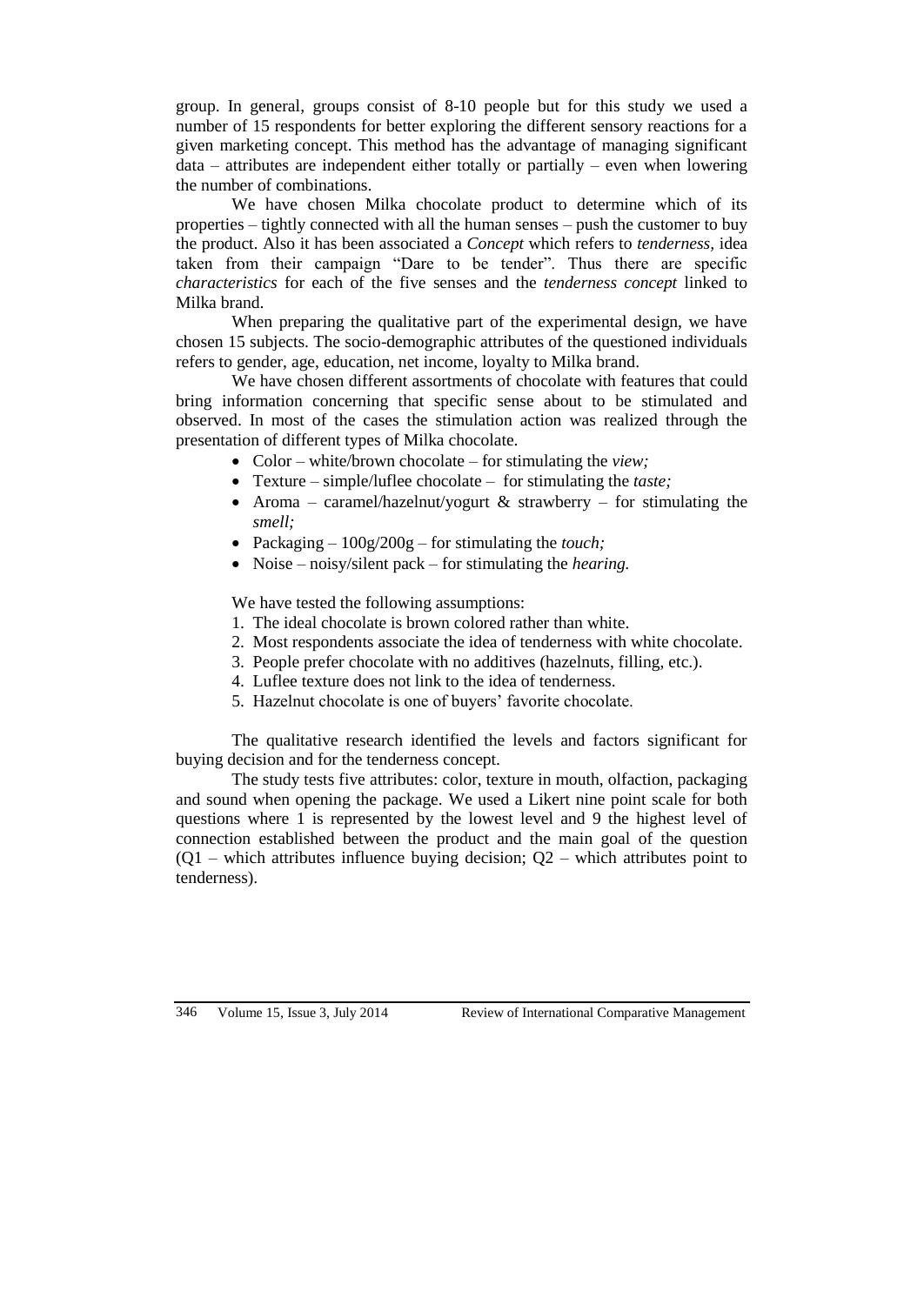group. In general, groups consist of 8-10 people but for this study we used a number of 15 respondents for better exploring the different sensory reactions for a given marketing concept. This method has the advantage of managing significant data – attributes are independent either totally or partially – even when lowering the number of combinations.

We have chosen Milka chocolate product to determine which of its properties – tightly connected with all the human senses – push the customer to buy the product. Also it has been associated a *Concept* which refers to *tenderness,* idea taken from their campaign "Dare to be tender". Thus there are specific *characteristics* for each of the five senses and the *tenderness concept* linked to Milka brand.

When preparing the qualitative part of the experimental design, we have chosen 15 subjects. The socio-demographic attributes of the questioned individuals refers to gender, age, education, net income, loyalty to Milka brand.

We have chosen different assortments of chocolate with features that could bring information concerning that specific sense about to be stimulated and observed. In most of the cases the stimulation action was realized through the presentation of different types of Milka chocolate.

- Color white/brown chocolate for stimulating the *view;*
- Texture simple/luflee chocolate for stimulating the *taste;*
- Aroma caramel/hazelnut/yogurt  $\&$  strawberry for stimulating the *smell;*
- Packaging 100g/200g for stimulating the *touch;*
- Noise noisy/silent pack for stimulating the *hearing.*

We have tested the following assumptions:

- 1. The ideal chocolate is brown colored rather than white.
- 2. Most respondents associate the idea of tenderness with white chocolate.
- 3. People prefer chocolate with no additives (hazelnuts, filling, etc.).
- 4. Luflee texture does not link to the idea of tenderness.
- 5. Hazelnut chocolate is one of buyers' favorite chocolate.

The qualitative research identified the levels and factors significant for buying decision and for the tenderness concept.

The study tests five attributes: color, texture in mouth, olfaction, packaging and sound when opening the package. We used a Likert nine point scale for both questions where 1 is represented by the lowest level and 9 the highest level of connection established between the product and the main goal of the question  $(Q_1 -$  which attributes influence buying decision;  $Q_2 -$  which attributes point to tenderness).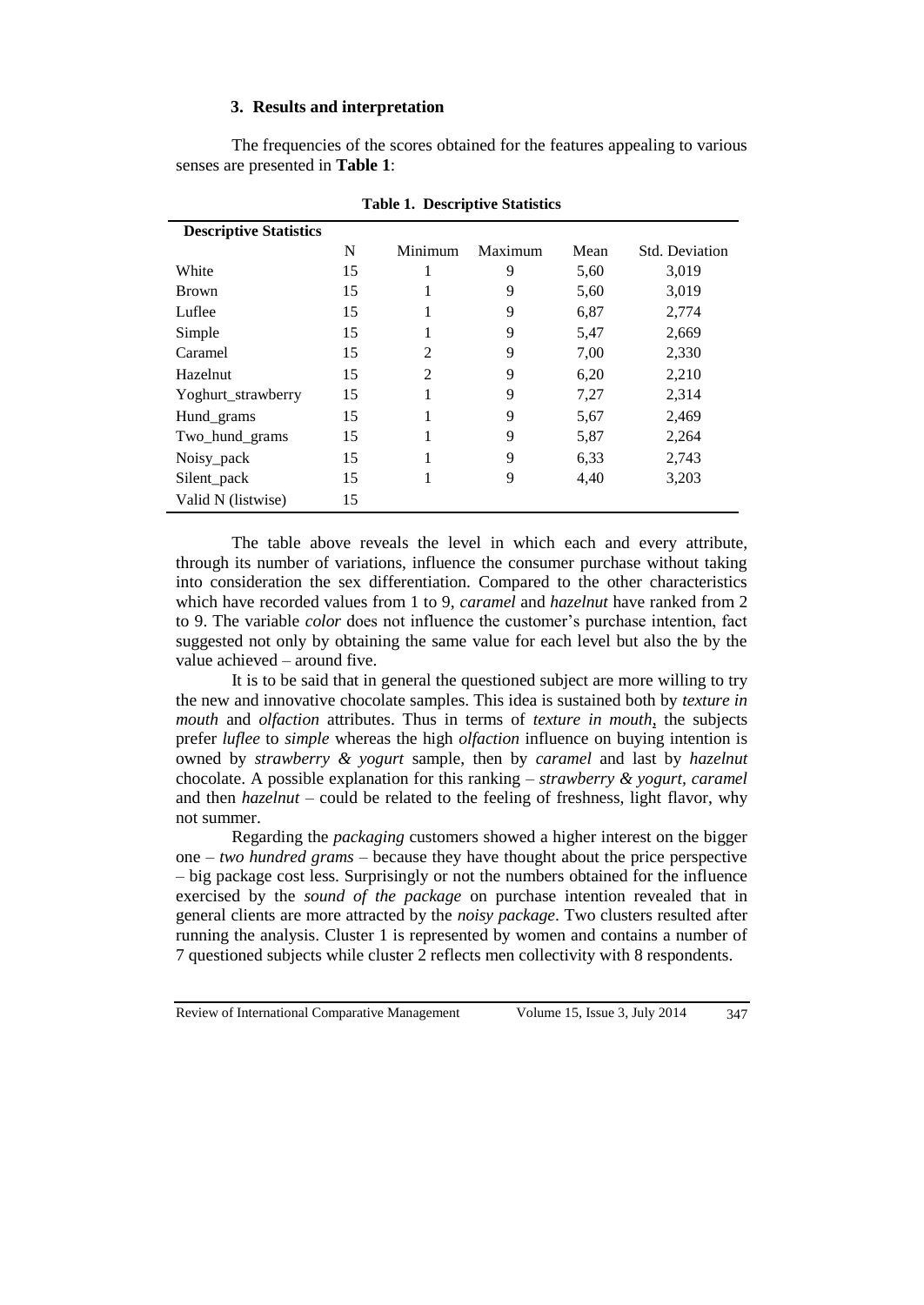# **3. Results and interpretation**

The frequencies of the scores obtained for the features appealing to various senses are presented in **Table 1**:

| <b>Descriptive Statistics</b> |    |                |         |      |                       |
|-------------------------------|----|----------------|---------|------|-----------------------|
|                               | N  | Minimum        | Maximum | Mean | <b>Std. Deviation</b> |
| White                         | 15 |                | 9       | 5,60 | 3,019                 |
| <b>Brown</b>                  | 15 |                | 9       | 5,60 | 3,019                 |
| Luflee                        | 15 |                | 9       | 6,87 | 2,774                 |
| Simple                        | 15 |                | 9       | 5,47 | 2,669                 |
| Caramel                       | 15 | 2              | 9       | 7,00 | 2,330                 |
| <b>Hazelnut</b>               | 15 | $\mathfrak{D}$ | 9       | 6,20 | 2,210                 |
| Yoghurt_strawberry            | 15 |                | 9       | 7,27 | 2,314                 |
| Hund_grams                    | 15 |                | 9       | 5,67 | 2,469                 |
| Two_hund_grams                | 15 |                | 9       | 5,87 | 2,264                 |
| Noisy_pack                    | 15 | 1              | 9       | 6,33 | 2,743                 |
| Silent_pack                   | 15 | 1              | 9       | 4,40 | 3,203                 |
| Valid N (listwise)            | 15 |                |         |      |                       |

**Table 1. Descriptive Statistics**

The table above reveals the level in which each and every attribute, through its number of variations, influence the consumer purchase without taking into consideration the sex differentiation. Compared to the other characteristics which have recorded values from 1 to 9, *caramel* and *hazelnut* have ranked from 2 to 9. The variable *color* does not influence the customer's purchase intention, fact suggested not only by obtaining the same value for each level but also the by the value achieved – around five.

It is to be said that in general the questioned subject are more willing to try the new and innovative chocolate samples. This idea is sustained both by *texture in mouth* and *olfaction* attributes. Thus in terms of *texture in mouth*, the subjects prefer *luflee* to *simple* whereas the high *olfaction* influence on buying intention is owned by *strawberry & yogurt* sample, then by *caramel* and last by *hazelnut* chocolate. A possible explanation for this ranking – *strawberry & yogurt, caramel*  and then *hazelnut* – could be related to the feeling of freshness, light flavor, why not summer.

Regarding the *packaging* customers showed a higher interest on the bigger one – *two hundred grams* – because they have thought about the price perspective – big package cost less. Surprisingly or not the numbers obtained for the influence exercised by the *sound of the package* on purchase intention revealed that in general clients are more attracted by the *noisy package*. Two clusters resulted after running the analysis. Cluster 1 is represented by women and contains a number of 7 questioned subjects while cluster 2 reflects men collectivity with 8 respondents.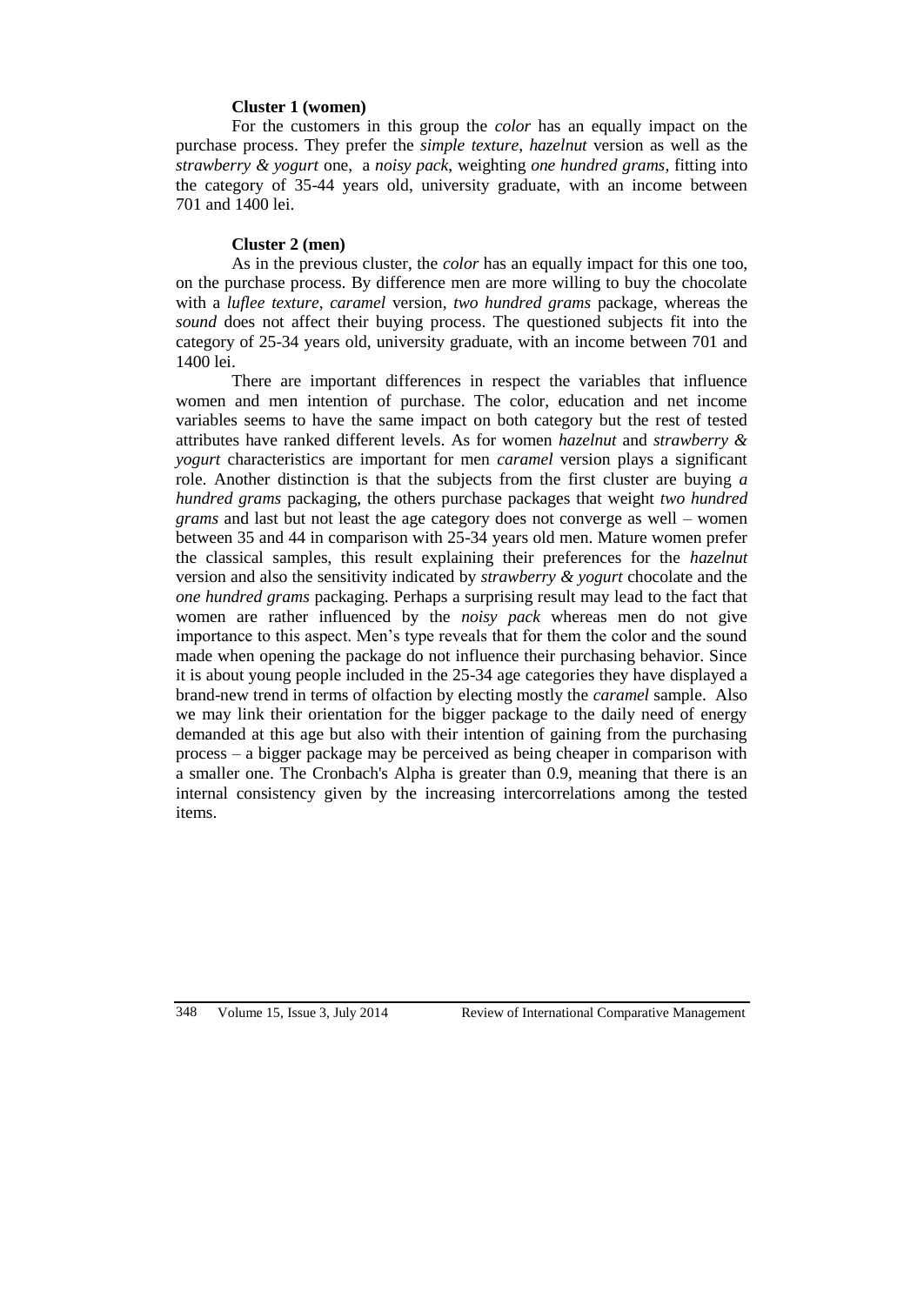## **Cluster 1 (women)**

For the customers in this group the *color* has an equally impact on the purchase process. They prefer the *simple texture*, *hazelnut* version as well as the *strawberry & yogurt* one, a *noisy pack*, weighting *one hundred grams*, fitting into the category of 35-44 years old, university graduate, with an income between 701 and 1400 lei.

## **Cluster 2 (men)**

As in the previous cluster, the *color* has an equally impact for this one too, on the purchase process. By difference men are more willing to buy the chocolate with a *luflee texture*, *caramel* version, *two hundred grams* package, whereas the *sound* does not affect their buying process. The questioned subjects fit into the category of 25-34 years old, university graduate, with an income between 701 and 1400 lei.

There are important differences in respect the variables that influence women and men intention of purchase. The color, education and net income variables seems to have the same impact on both category but the rest of tested attributes have ranked different levels. As for women *hazelnut* and *strawberry & yogurt* characteristics are important for men *caramel* version plays a significant role. Another distinction is that the subjects from the first cluster are buying *a hundred grams* packaging, the others purchase packages that weight *two hundred grams* and last but not least the age category does not converge as well – women between 35 and 44 in comparison with 25-34 years old men. Mature women prefer the classical samples, this result explaining their preferences for the *hazelnut* version and also the sensitivity indicated by *strawberry & yogurt* chocolate and the *one hundred grams* packaging. Perhaps a surprising result may lead to the fact that women are rather influenced by the *noisy pack* whereas men do not give importance to this aspect. Men's type reveals that for them the color and the sound made when opening the package do not influence their purchasing behavior. Since it is about young people included in the 25-34 age categories they have displayed a brand-new trend in terms of olfaction by electing mostly the *caramel* sample. Also we may link their orientation for the bigger package to the daily need of energy demanded at this age but also with their intention of gaining from the purchasing process – a bigger package may be perceived as being cheaper in comparison with a smaller one. The Cronbach's Alpha is greater than 0.9, meaning that there is an internal consistency given by the increasing intercorrelations among the tested items.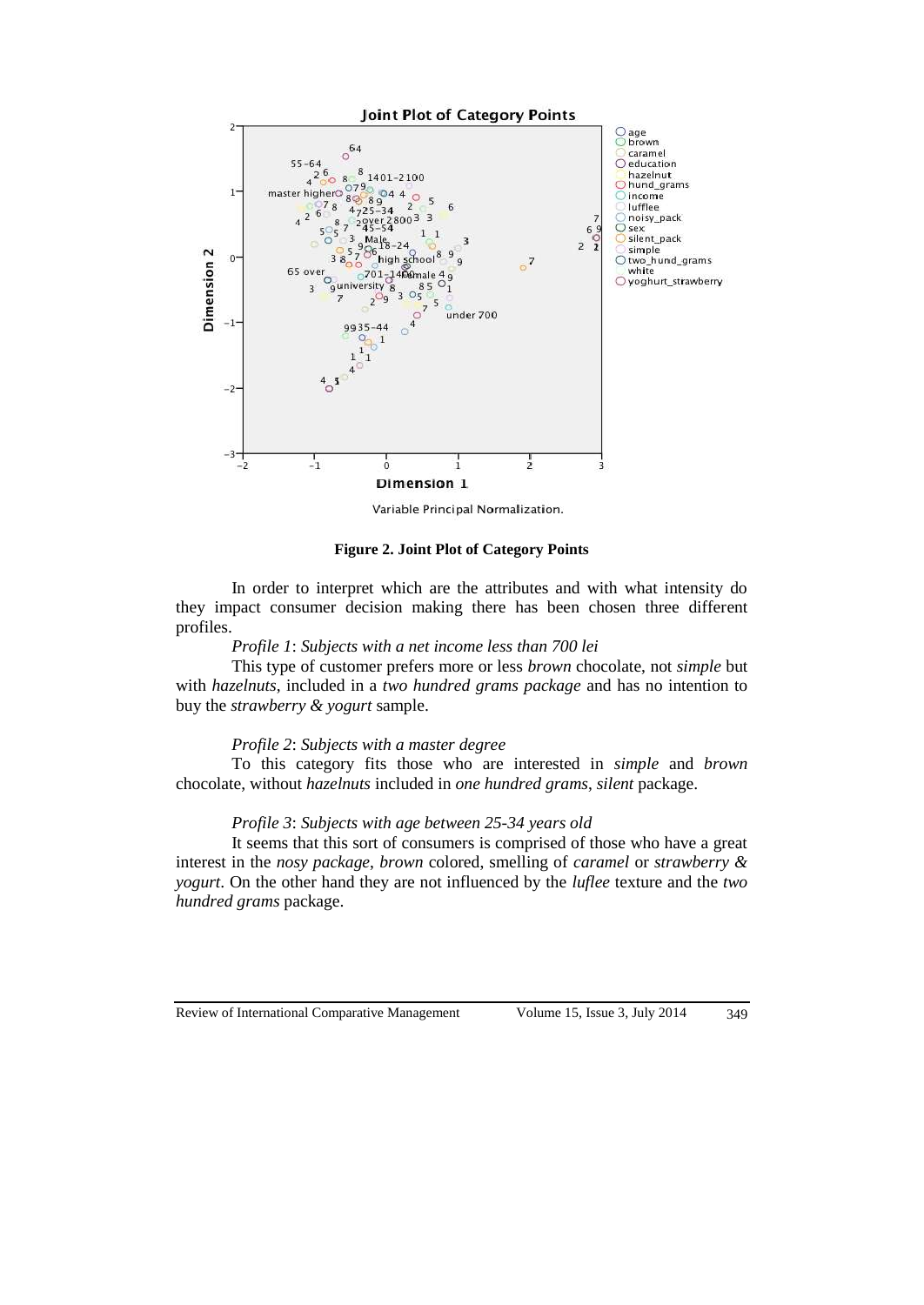

Variable Principal Normalization.

### **Figure 2. Joint Plot of Category Points**

In order to interpret which are the attributes and with what intensity do they impact consumer decision making there has been chosen three different profiles.

#### *Profile 1*: *Subjects with a net income less than 700 lei*

This type of customer prefers more or less *brown* chocolate, not *simple* but with *hazelnuts*, included in a *two hundred grams package* and has no intention to buy the *strawberry & yogurt* sample.

## *Profile 2*: *Subjects with a master degree*

To this category fits those who are interested in *simple* and *brown* chocolate, without *hazelnuts* included in *one hundred grams*, *silent* package.

# *Profile 3*: *Subjects with age between 25-34 years old*

It seems that this sort of consumers is comprised of those who have a great interest in the *nosy package*, *brown* colored, smelling of *caramel* or *strawberry & yogurt*. On the other hand they are not influenced by the *luflee* texture and the *two hundred grams* package.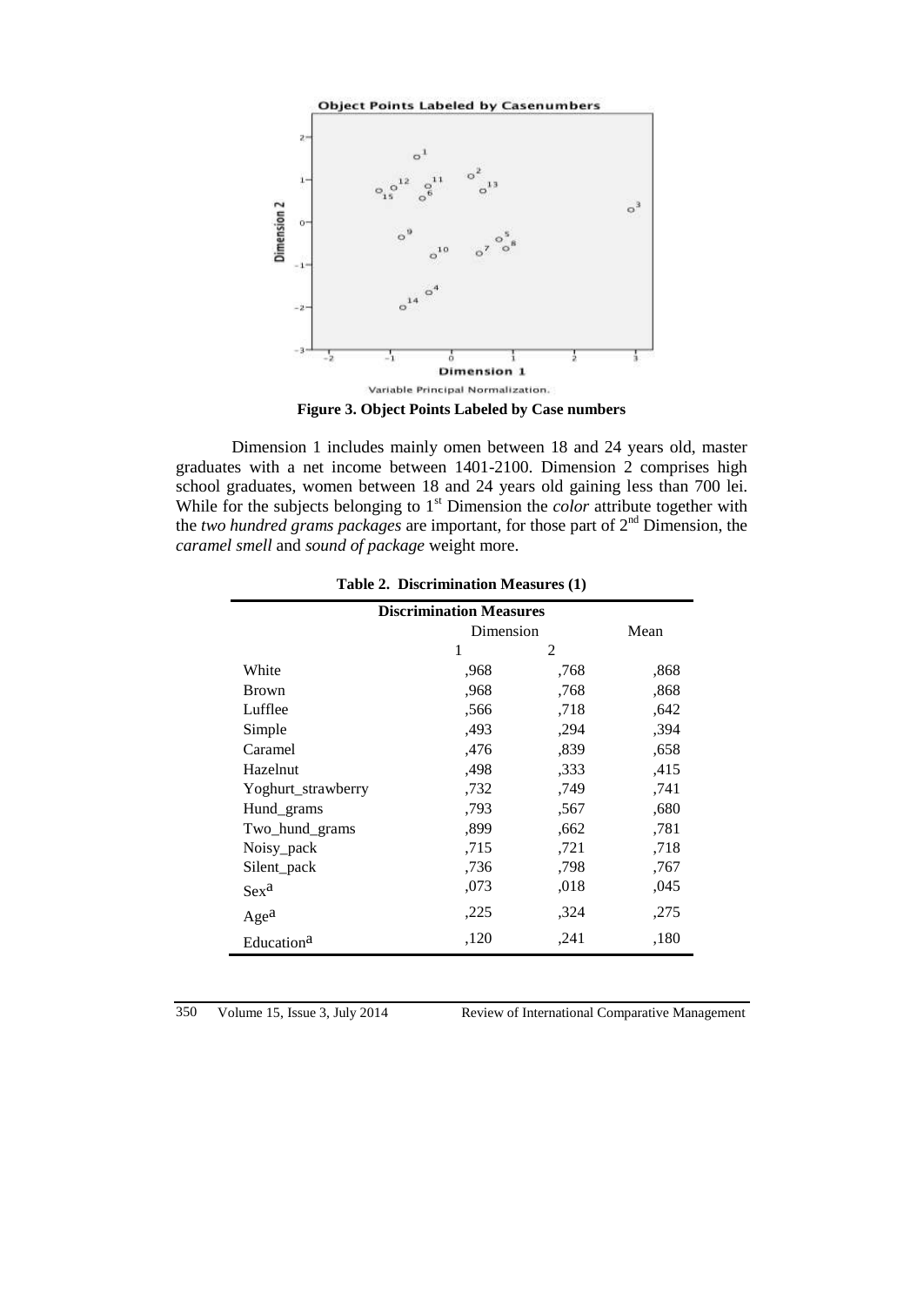

**Figure 3. Object Points Labeled by Case numbers**

Dimension 1 includes mainly omen between 18 and 24 years old, master graduates with a net income between 1401-2100. Dimension 2 comprises high school graduates, women between 18 and 24 years old gaining less than 700 lei. While for the subjects belonging to 1<sup>st</sup> Dimension the *color* attribute together with the *two hundred grams packages* are important, for those part of 2nd Dimension, the *caramel smell* and *sound of package* weight more.

| <b>Discrimination Measures</b> |           |      |      |  |
|--------------------------------|-----------|------|------|--|
|                                | Dimension |      | Mean |  |
|                                | 1         | 2    |      |  |
| White                          | .968      | .768 | ,868 |  |
| <b>Brown</b>                   | ,968      | .768 | ,868 |  |
| Lufflee                        | ,566      | ,718 | ,642 |  |
| Simple                         | ,493      | ,294 | ,394 |  |
| Caramel                        | ,476      | ,839 | ,658 |  |
| Hazelnut                       | ,498      | ,333 | ,415 |  |
| Yoghurt_strawberry             | ,732      | ,749 | ,741 |  |
| Hund_grams                     | ,793      | .567 | ,680 |  |
| Two_hund_grams                 | ,899      | ,662 | ,781 |  |
| Noisy_pack                     | ,715      | ,721 | ,718 |  |
| Silent_pack                    | ,736      | ,798 | ,767 |  |
| Sex <sup>a</sup>               | ,073      | ,018 | ,045 |  |
| Age <sup>a</sup>               | ,225      | ,324 | ,275 |  |
| Education <sup>a</sup>         | ,120      | ,241 | ,180 |  |

**Table 2. Discrimination Measures (1)**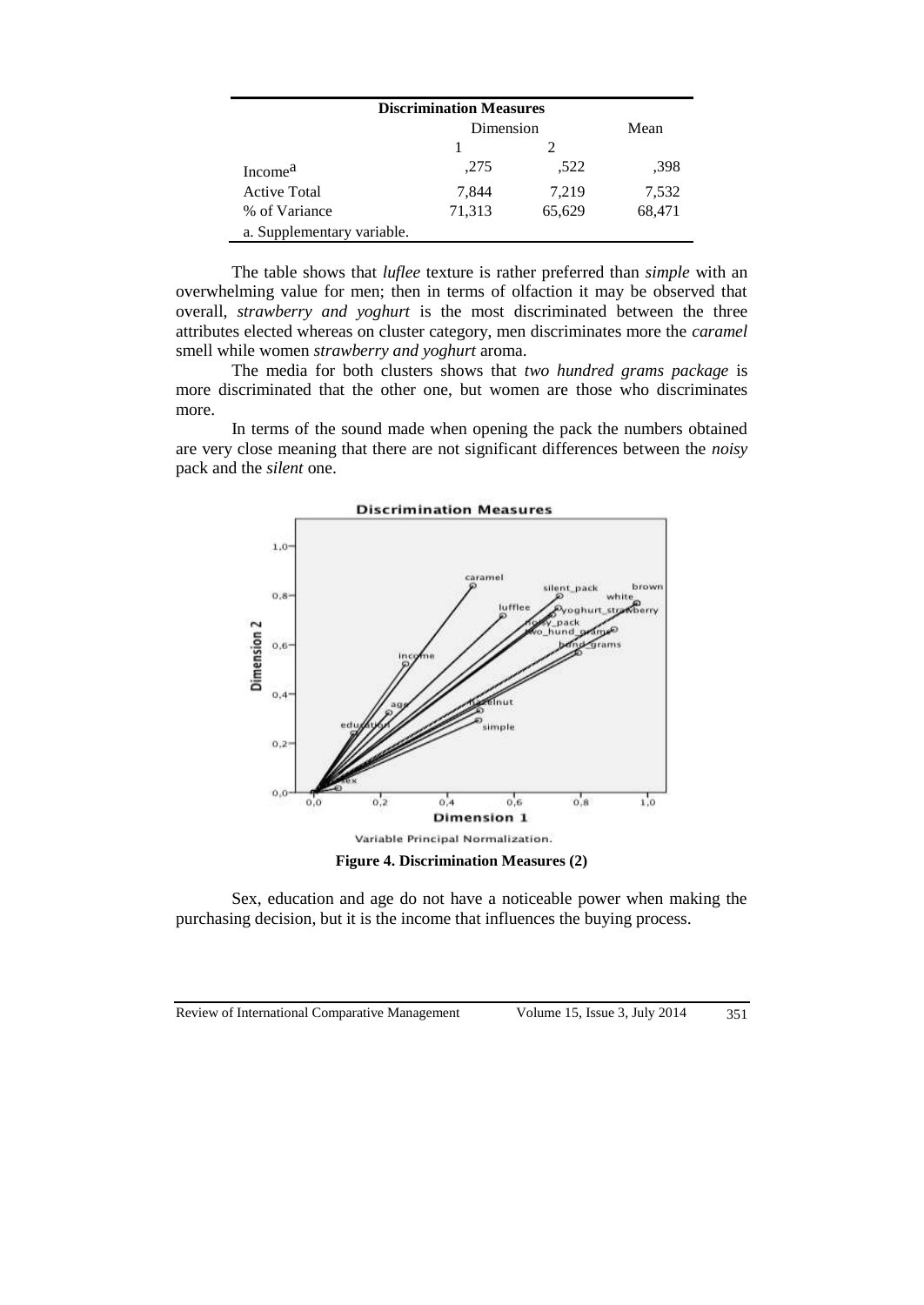| <b>Discrimination Measures</b> |           |        |        |  |
|--------------------------------|-----------|--------|--------|--|
|                                | Dimension | Mean   |        |  |
|                                |           |        |        |  |
| Income <sup>a</sup>            | ,275      | .522   | .398   |  |
| <b>Active Total</b>            | 7.844     | 7,219  | 7,532  |  |
| % of Variance                  | 71,313    | 65,629 | 68,471 |  |
| a. Supplementary variable.     |           |        |        |  |

The table shows that *luflee* texture is rather preferred than *simple* with an overwhelming value for men; then in terms of olfaction it may be observed that overall, *strawberry and yoghurt* is the most discriminated between the three attributes elected whereas on cluster category, men discriminates more the *caramel* smell while women *strawberry and yoghurt* aroma.

The media for both clusters shows that *two hundred grams package* is more discriminated that the other one, but women are those who discriminates more.

In terms of the sound made when opening the pack the numbers obtained are very close meaning that there are not significant differences between the *noisy* pack and the *silent* one.



**Figure 4. Discrimination Measures (2)**

Sex, education and age do not have a noticeable power when making the purchasing decision, but it is the income that influences the buying process.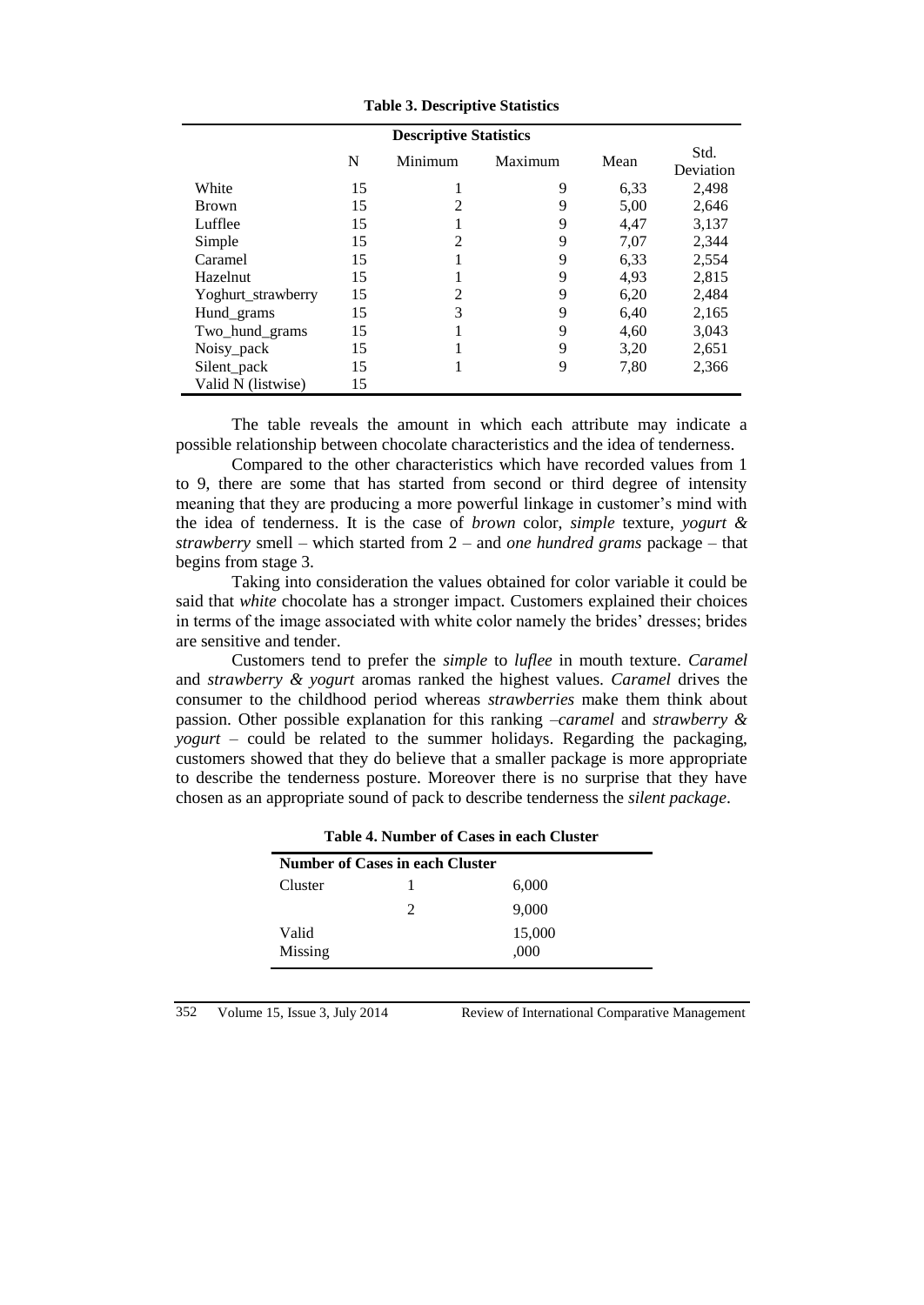| <b>Descriptive Statistics</b> |    |                |         |      |                   |
|-------------------------------|----|----------------|---------|------|-------------------|
|                               | N  | Minimum        | Maximum | Mean | Std.<br>Deviation |
| White                         | 15 | 1              | 9       | 6.33 | 2,498             |
| <b>Brown</b>                  | 15 | $\overline{2}$ | 9       | 5,00 | 2,646             |
| Lufflee                       | 15 |                | 9       | 4,47 | 3,137             |
| Simple                        | 15 | $\overline{2}$ | 9       | 7,07 | 2,344             |
| Caramel                       | 15 |                | 9       | 6.33 | 2,554             |
| Hazelnut                      | 15 |                | 9       | 4,93 | 2,815             |
| Yoghurt strawberry            | 15 | 2              | 9       | 6,20 | 2,484             |
| Hund_grams                    | 15 | 3              | 9       | 6,40 | 2,165             |
| Two hund grams                | 15 |                | 9       | 4,60 | 3,043             |
| Noisy pack                    | 15 |                | 9       | 3,20 | 2,651             |
| Silent_pack                   | 15 |                | 9       | 7,80 | 2,366             |
| Valid N (listwise)            | 15 |                |         |      |                   |

**Table 3. Descriptive Statistics**

The table reveals the amount in which each attribute may indicate a possible relationship between chocolate characteristics and the idea of tenderness.

Compared to the other characteristics which have recorded values from 1 to 9, there are some that has started from second or third degree of intensity meaning that they are producing a more powerful linkage in customer's mind with the idea of tenderness. It is the case of *brown* color, *simple* texture, *yogurt & strawberry* smell – which started from 2 – and *one hundred grams* package – that begins from stage 3.

Taking into consideration the values obtained for color variable it could be said that *white* chocolate has a stronger impact. Customers explained their choices in terms of the image associated with white color namely the brides' dresses; brides are sensitive and tender.

Customers tend to prefer the *simple* to *luflee* in mouth texture. *Caramel* and *strawberry & yogurt* aromas ranked the highest values. *Caramel* drives the consumer to the childhood period whereas *strawberries* make them think about passion. Other possible explanation for this ranking –*caramel* and *strawberry & yogurt* – could be related to the summer holidays. Regarding the packaging, customers showed that they do believe that a smaller package is more appropriate to describe the tenderness posture. Moreover there is no surprise that they have chosen as an appropriate sound of pack to describe tenderness the *silent package*.

| Table 4. Number of Cases in each Chuster |                             |        |  |  |
|------------------------------------------|-----------------------------|--------|--|--|
| <b>Number of Cases in each Cluster</b>   |                             |        |  |  |
| Cluster                                  |                             | 6,000  |  |  |
|                                          | $\mathcal{D}_{\mathcal{L}}$ | 9,000  |  |  |
| Valid                                    |                             | 15,000 |  |  |
| Missing                                  |                             | ,000   |  |  |

**Table 4. Number of Cases in each Cluster**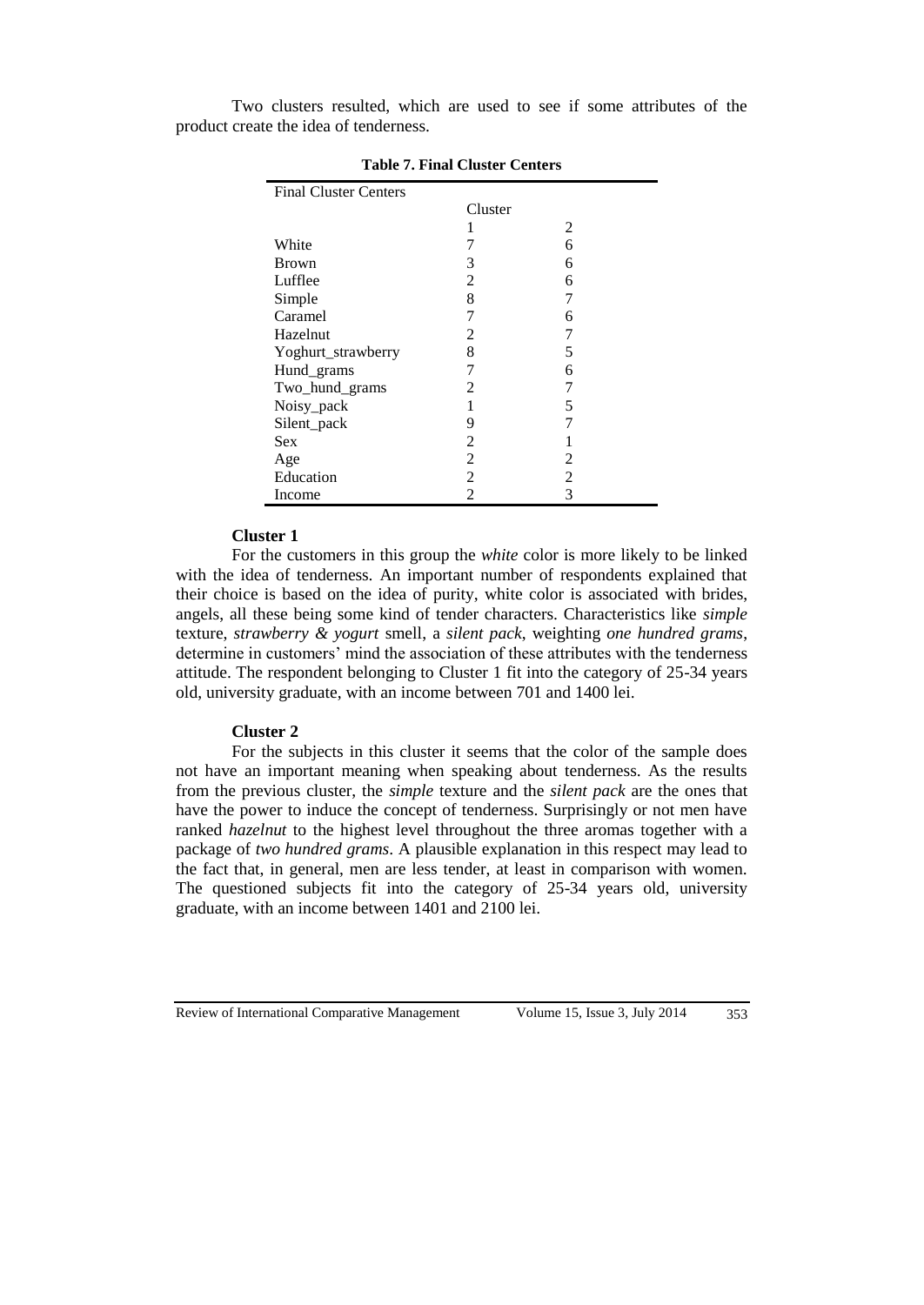Two clusters resulted, which are used to see if some attributes of the product create the idea of tenderness.

| <b>Final Cluster Centers</b> |                |   |  |  |  |
|------------------------------|----------------|---|--|--|--|
|                              | Cluster        |   |  |  |  |
|                              |                | 2 |  |  |  |
| White                        |                | 6 |  |  |  |
| Brown                        | 3              | 6 |  |  |  |
| Lufflee                      | 2              | 6 |  |  |  |
| Simple                       | 8              |   |  |  |  |
| Caramel                      | 7              | 6 |  |  |  |
| Hazelnut                     | 2              |   |  |  |  |
| Yoghurt_strawberry           | 8              | 5 |  |  |  |
| Hund_grams                   | 7              | 6 |  |  |  |
| Two_hund_grams               | 2              |   |  |  |  |
| Noisy_pack                   | 1              | 5 |  |  |  |
| Silent_pack                  | 9              |   |  |  |  |
| Sex                          | 2              |   |  |  |  |
| Age                          | $\overline{2}$ | 2 |  |  |  |
| Education                    | $\overline{2}$ | 2 |  |  |  |
| Income                       | $\mathfrak{D}$ | 3 |  |  |  |

**Table 7. Final Cluster Centers**

#### **Cluster 1**

For the customers in this group the *white* color is more likely to be linked with the idea of tenderness. An important number of respondents explained that their choice is based on the idea of purity, white color is associated with brides, angels, all these being some kind of tender characters. Characteristics like *simple* texture, *strawberry & yogurt* smell, a *silent pack*, weighting *one hundred grams*, determine in customers' mind the association of these attributes with the tenderness attitude. The respondent belonging to Cluster 1 fit into the category of 25-34 years old, university graduate, with an income between 701 and 1400 lei.

## **Cluster 2**

For the subjects in this cluster it seems that the color of the sample does not have an important meaning when speaking about tenderness. As the results from the previous cluster, the *simple* texture and the *silent pack* are the ones that have the power to induce the concept of tenderness. Surprisingly or not men have ranked *hazelnut* to the highest level throughout the three aromas together with a package of *two hundred grams*. A plausible explanation in this respect may lead to the fact that, in general, men are less tender, at least in comparison with women. The questioned subjects fit into the category of 25-34 years old, university graduate, with an income between 1401 and 2100 lei.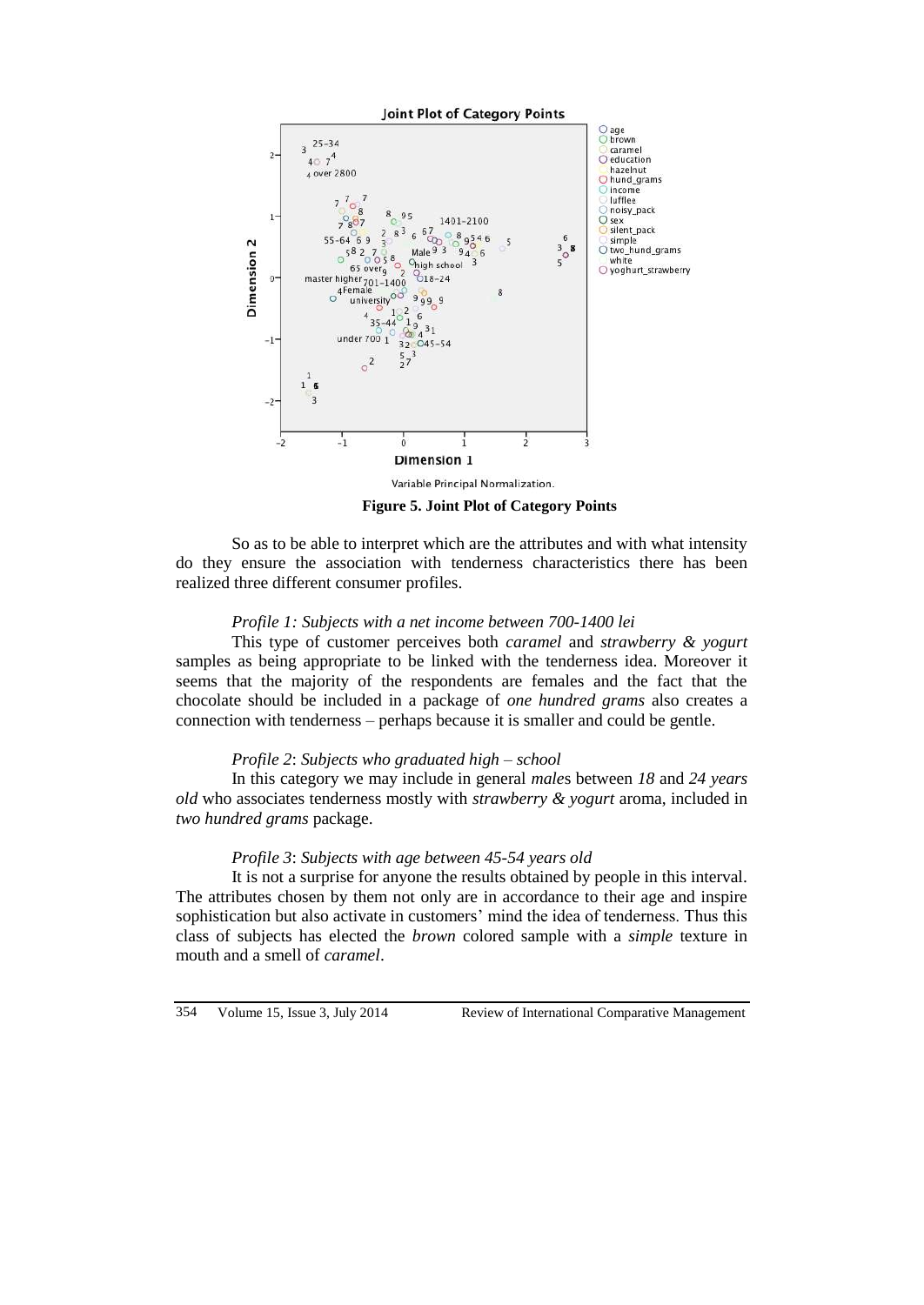

**Figure 5. Joint Plot of Category Points**

So as to be able to interpret which are the attributes and with what intensity do they ensure the association with tenderness characteristics there has been realized three different consumer profiles.

# *Profile 1: Subjects with a net income between 700-1400 lei*

This type of customer perceives both *caramel* and *strawberry & yogurt*  samples as being appropriate to be linked with the tenderness idea. Moreover it seems that the majority of the respondents are females and the fact that the chocolate should be included in a package of *one hundred grams* also creates a connection with tenderness – perhaps because it is smaller and could be gentle.

# *Profile 2*: *Subjects who graduated high – school*

In this category we may include in general *male*s between *18* and *24 years old* who associates tenderness mostly with *strawberry & yogurt* aroma, included in *two hundred grams* package.

# *Profile 3*: *Subjects with age between 45-54 years old*

It is not a surprise for anyone the results obtained by people in this interval. The attributes chosen by them not only are in accordance to their age and inspire sophistication but also activate in customers' mind the idea of tenderness. Thus this class of subjects has elected the *brown* colored sample with a *simple* texture in mouth and a smell of *caramel*.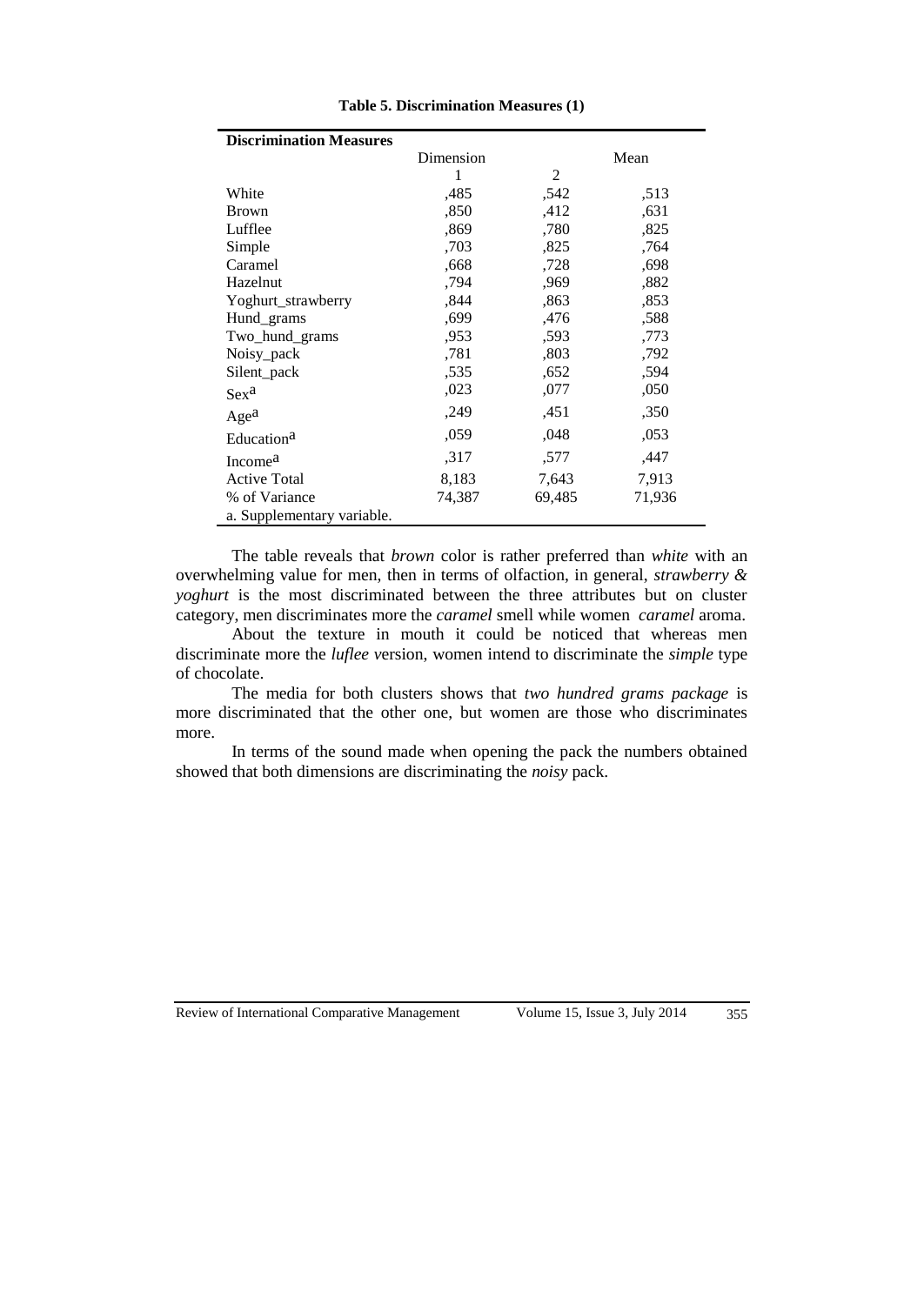| <b>Discrimination Measures</b> |           |                |        |
|--------------------------------|-----------|----------------|--------|
|                                | Dimension |                | Mean   |
|                                | 1         | $\overline{2}$ |        |
| White                          | ,485      | ,542           | ,513   |
| <b>Brown</b>                   | ,850      | ,412           | ,631   |
| Lufflee                        | ,869      | ,780           | ,825   |
| Simple                         | ,703      | ,825           | ,764   |
| Caramel                        | .668      | ,728           | ,698   |
| Hazelnut                       | ,794      | ,969           | ,882   |
| Yoghurt_strawberry             | .844      | ,863           | ,853   |
| Hund_grams                     | ,699      | ,476           | ,588   |
| Two_hund_grams                 | .953      | ,593           | ,773   |
| Noisy pack                     | ,781      | ,803           | ,792   |
| Silent_pack                    | ,535      | ,652           | ,594   |
| $Sex^a$                        | ,023      | ,077           | ,050   |
| Age <sup>a</sup>               | ,249      | ,451           | ,350   |
| Education <sup>a</sup>         | ,059      | ,048           | ,053   |
| Income <sup>a</sup>            | .317      | ,577           | ,447   |
| <b>Active Total</b>            | 8,183     | 7,643          | 7,913  |
| % of Variance                  | 74,387    | 69,485         | 71,936 |
| a. Supplementary variable.     |           |                |        |

**Table 5. Discrimination Measures (1)**

The table reveals that *brown* color is rather preferred than *white* with an overwhelming value for men, then in terms of olfaction, in general, *strawberry & yoghurt* is the most discriminated between the three attributes but on cluster category, men discriminates more the *caramel* smell while women *caramel* aroma.

About the texture in mouth it could be noticed that whereas men discriminate more the *luflee v*ersion, women intend to discriminate the *simple* type of chocolate.

The media for both clusters shows that *two hundred grams package* is more discriminated that the other one, but women are those who discriminates more.

In terms of the sound made when opening the pack the numbers obtained showed that both dimensions are discriminating the *noisy* pack.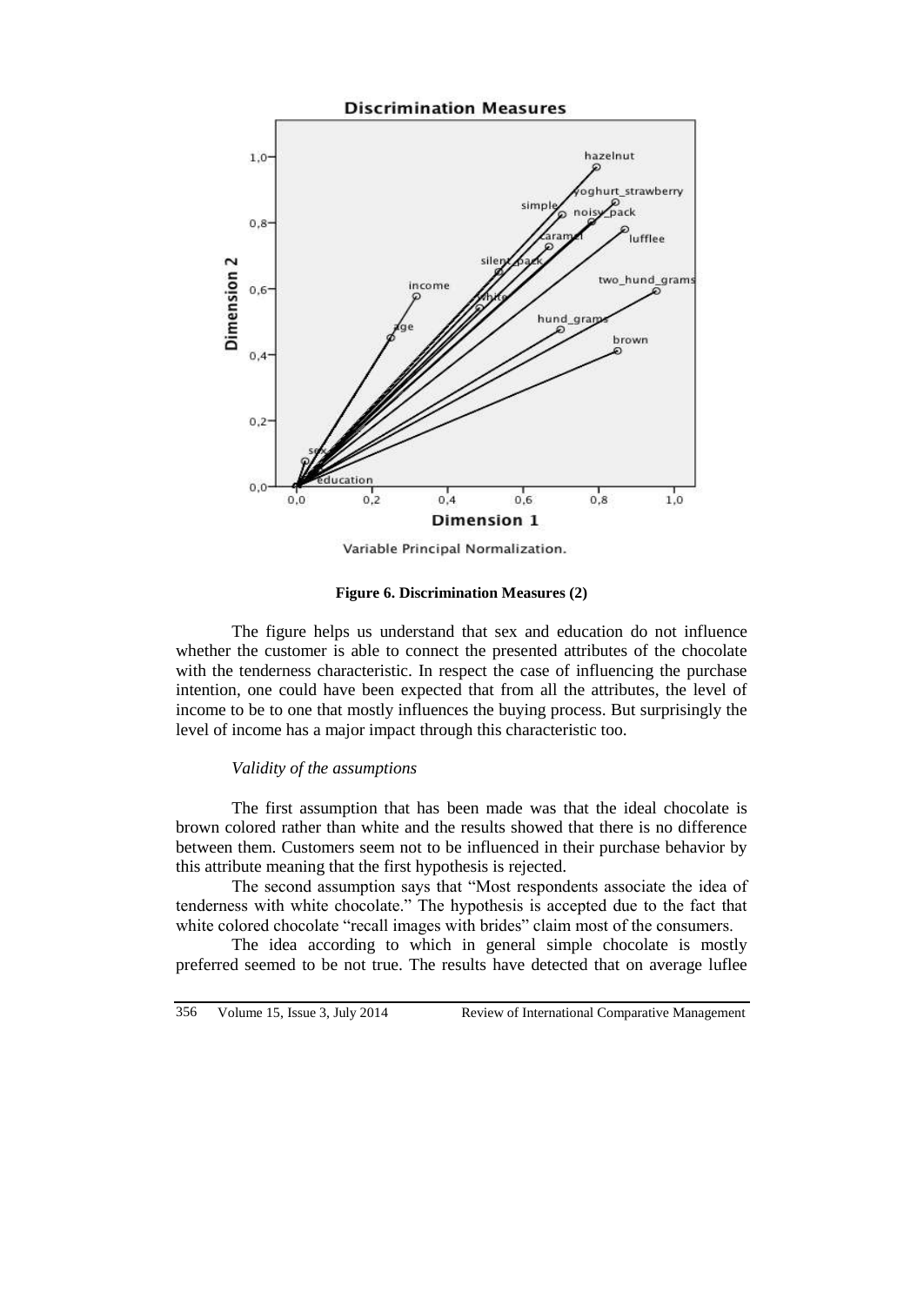

Variable Principal Normalization.

**Figure 6. Discrimination Measures (2)**

The figure helps us understand that sex and education do not influence whether the customer is able to connect the presented attributes of the chocolate with the tenderness characteristic. In respect the case of influencing the purchase intention, one could have been expected that from all the attributes, the level of income to be to one that mostly influences the buying process. But surprisingly the level of income has a major impact through this characteristic too.

### *Validity of the assumptions*

The first assumption that has been made was that the ideal chocolate is brown colored rather than white and the results showed that there is no difference between them. Customers seem not to be influenced in their purchase behavior by this attribute meaning that the first hypothesis is rejected.

The second assumption says that "Most respondents associate the idea of tenderness with white chocolate." The hypothesis is accepted due to the fact that white colored chocolate "recall images with brides" claim most of the consumers.

The idea according to which in general simple chocolate is mostly preferred seemed to be not true. The results have detected that on average luflee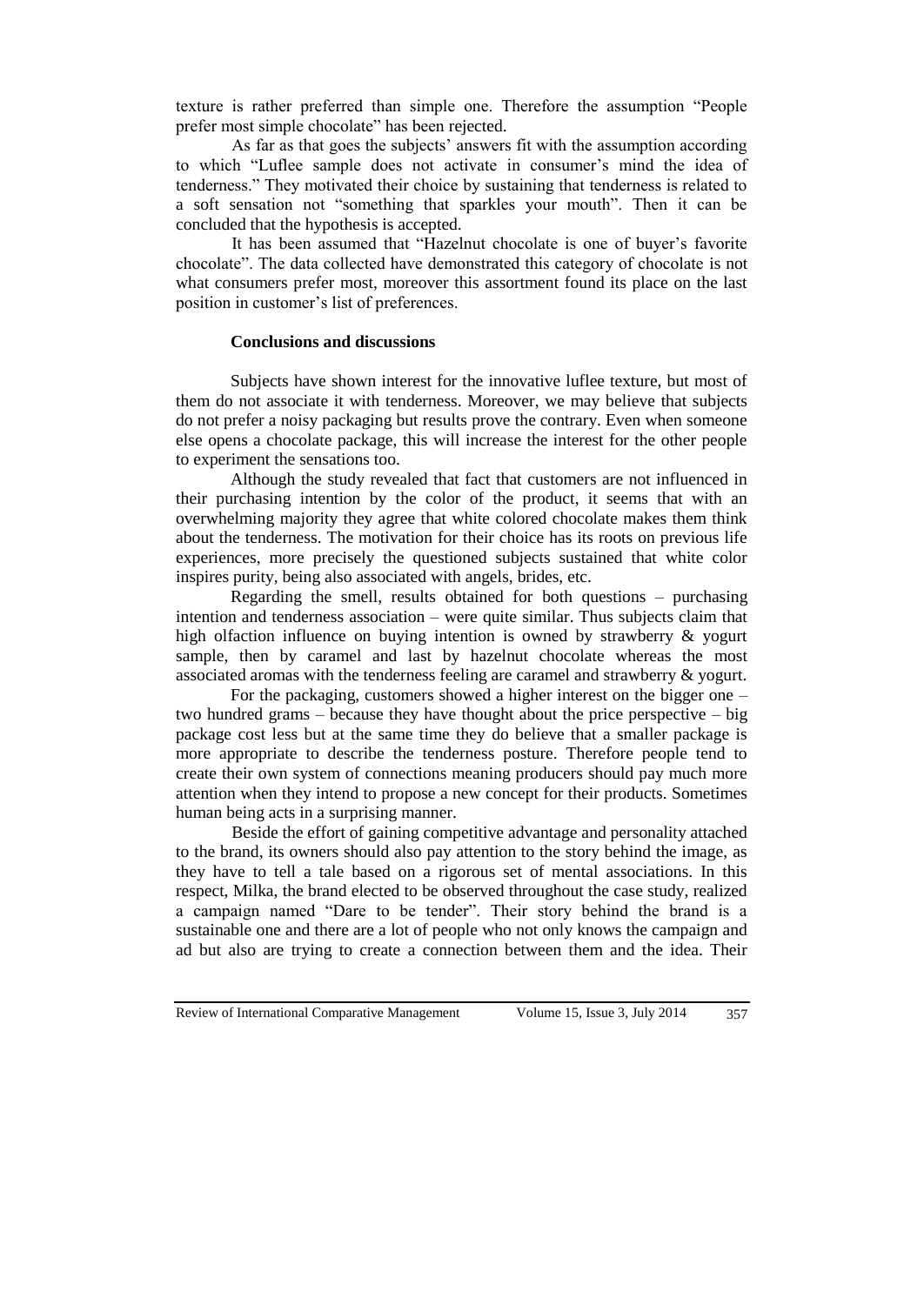texture is rather preferred than simple one. Therefore the assumption "People prefer most simple chocolate" has been rejected.

As far as that goes the subjects' answers fit with the assumption according to which "Luflee sample does not activate in consumer's mind the idea of tenderness." They motivated their choice by sustaining that tenderness is related to a soft sensation not "something that sparkles your mouth". Then it can be concluded that the hypothesis is accepted.

It has been assumed that "Hazelnut chocolate is one of buyer's favorite chocolate". The data collected have demonstrated this category of chocolate is not what consumers prefer most, moreover this assortment found its place on the last position in customer's list of preferences.

# **Conclusions and discussions**

Subjects have shown interest for the innovative luflee texture, but most of them do not associate it with tenderness. Moreover, we may believe that subjects do not prefer a noisy packaging but results prove the contrary. Even when someone else opens a chocolate package, this will increase the interest for the other people to experiment the sensations too.

Although the study revealed that fact that customers are not influenced in their purchasing intention by the color of the product, it seems that with an overwhelming majority they agree that white colored chocolate makes them think about the tenderness. The motivation for their choice has its roots on previous life experiences, more precisely the questioned subjects sustained that white color inspires purity, being also associated with angels, brides, etc.

Regarding the smell, results obtained for both questions – purchasing intention and tenderness association – were quite similar. Thus subjects claim that high olfaction influence on buying intention is owned by strawberry & yogurt sample, then by caramel and last by hazelnut chocolate whereas the most associated aromas with the tenderness feeling are caramel and strawberry & yogurt.

For the packaging, customers showed a higher interest on the bigger one – two hundred grams – because they have thought about the price perspective – big package cost less but at the same time they do believe that a smaller package is more appropriate to describe the tenderness posture. Therefore people tend to create their own system of connections meaning producers should pay much more attention when they intend to propose a new concept for their products. Sometimes human being acts in a surprising manner.

Beside the effort of gaining competitive advantage and personality attached to the brand, its owners should also pay attention to the story behind the image, as they have to tell a tale based on a rigorous set of mental associations. In this respect, Milka, the brand elected to be observed throughout the case study, realized a campaign named "Dare to be tender". Their story behind the brand is a sustainable one and there are a lot of people who not only knows the campaign and ad but also are trying to create a connection between them and the idea. Their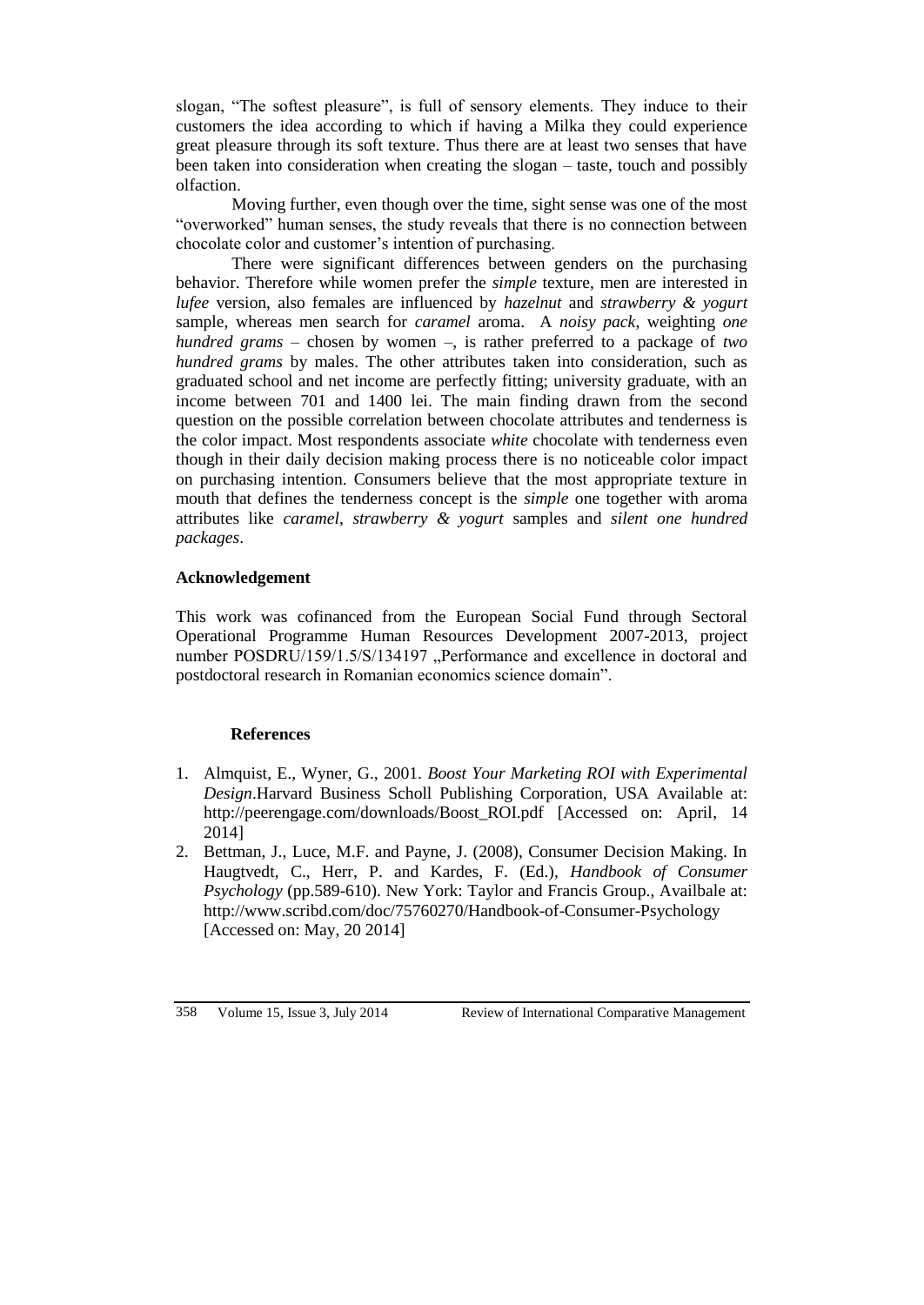slogan, "The softest pleasure", is full of sensory elements. They induce to their customers the idea according to which if having a Milka they could experience great pleasure through its soft texture. Thus there are at least two senses that have been taken into consideration when creating the slogan – taste, touch and possibly olfaction.

Moving further, even though over the time, sight sense was one of the most "overworked" human senses, the study reveals that there is no connection between chocolate color and customer's intention of purchasing.

There were significant differences between genders on the purchasing behavior. Therefore while women prefer the *simple* texture, men are interested in *lufee* version, also females are influenced by *hazelnut* and *strawberry & yogurt* sample, whereas men search for *caramel* aroma. A *noisy pack*, weighting *one hundred grams* – chosen by women –, is rather preferred to a package of *two hundred grams* by males. The other attributes taken into consideration, such as graduated school and net income are perfectly fitting; university graduate, with an income between 701 and 1400 lei. The main finding drawn from the second question on the possible correlation between chocolate attributes and tenderness is the color impact. Most respondents associate *white* chocolate with tenderness even though in their daily decision making process there is no noticeable color impact on purchasing intention. Consumers believe that the most appropriate texture in mouth that defines the tenderness concept is the *simple* one together with aroma attributes like *caramel*, *strawberry & yogurt* samples and *silent one hundred packages*.

# **Acknowledgement**

This work was cofinanced from the European Social Fund through Sectoral Operational Programme Human Resources Development 2007-2013, project number POSDRU/159/1.5/S/134197 "Performance and excellence in doctoral and postdoctoral research in Romanian economics science domain".

# **References**

- 1. Almquist, E., Wyner, G., 2001. *Boost Your Marketing ROI with Experimental Design*.Harvard Business Scholl Publishing Corporation, USA Available at: [http://peerengage.com/downloads/Boost\\_ROI.pdf](http://peerengage.com/downloads/Boost_ROI.pdf) [Accessed on: April, 14] 2014]
- 2. Bettman, J., Luce, M.F. and Payne, J. (2008), Consumer Decision Making. In Haugtvedt, C., Herr, P. and Kardes, F. (Ed.), *Handbook of Consumer Psychology* (pp.589-610). New York: Taylor and Francis Group., Availbale at: <http://www.scribd.com/doc/75760270/Handbook-of-Consumer-Psychology> [Accessed on: May, 20 2014]